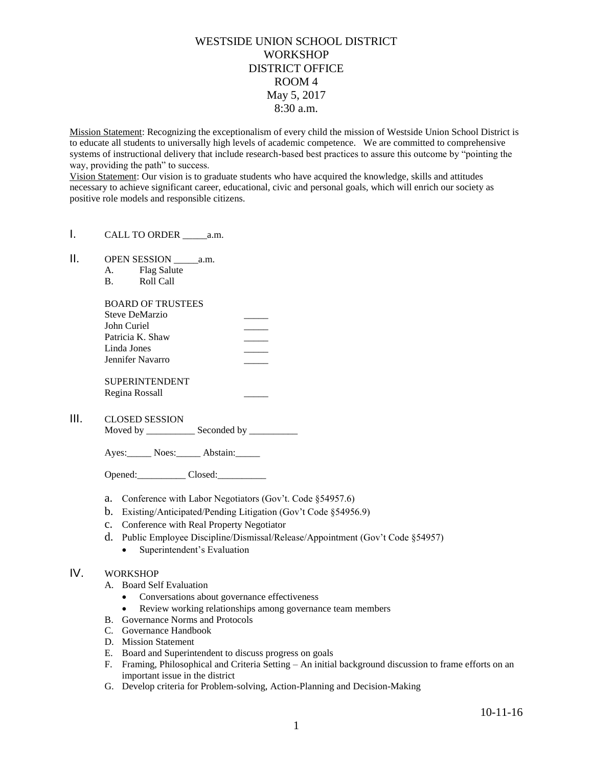## WESTSIDE UNION SCHOOL DISTRICT **WORKSHOP** DISTRICT OFFICE ROOM 4 May 5, 2017 8:30 a.m.

Mission Statement: Recognizing the exceptionalism of every child the mission of Westside Union School District is to educate all students to universally high levels of academic competence. We are committed to comprehensive systems of instructional delivery that include research-based best practices to assure this outcome by "pointing the way, providing the path" to success.

Vision Statement: Our vision is to graduate students who have acquired the knowledge, skills and attitudes necessary to achieve significant career, educational, civic and personal goals, which will enrich our society as positive role models and responsible citizens.

- I. CALL TO ORDER a.m.
- II. OPEN SESSION a.m.
	- A. Flag Salute
	- B. Roll Call

| <b>BOARD OF TRUSTEES</b> |  |
|--------------------------|--|
| Steve DeMarzio           |  |
| John Curiel              |  |
| Patricia K. Shaw         |  |
| Linda Jones              |  |
| Jennifer Navarro         |  |
| <b>SUPERINTENDENT</b>    |  |
| Regina Rossall           |  |

| Ш. | <b>CLOSED SESSION</b> |
|----|-----------------------|
|----|-----------------------|

Moved by \_\_\_\_\_\_\_\_\_\_\_\_\_ Seconded by \_\_\_\_\_\_\_\_\_\_\_

Ayes: Noes: Abstain:

Opened: Closed: 2008.

- a. Conference with Labor Negotiators (Gov't. Code §54957.6)
- b. Existing/Anticipated/Pending Litigation (Gov't Code §54956.9)
- c. Conference with Real Property Negotiator
- d. Public Employee Discipline/Dismissal/Release/Appointment (Gov't Code §54957)
	- Superintendent's Evaluation

## IV. WORKSHOP

- A. Board Self Evaluation
	- Conversations about governance effectiveness
	- Review working relationships among governance team members
- B. Governance Norms and Protocols
- C. Governance Handbook
- D. Mission Statement
- E. Board and Superintendent to discuss progress on goals
- F. Framing, Philosophical and Criteria Setting An initial background discussion to frame efforts on an important issue in the district
- G. Develop criteria for Problem-solving, Action-Planning and Decision-Making